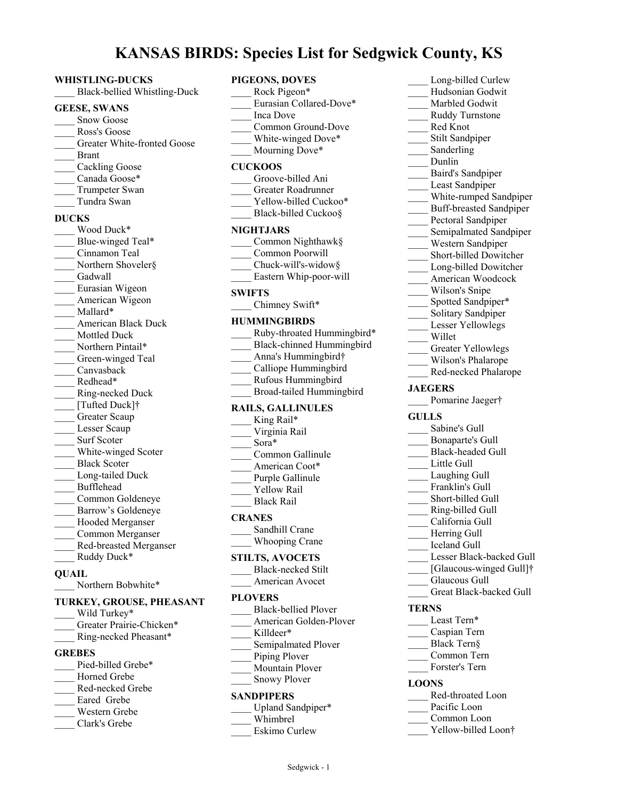# **KANSAS BIRDS: Species List for Sedgwick County, KS**

#### **WHISTLING-DUCKS**

\_\_\_\_ Black-bellied Whistling-Duck

#### **GEESE, SWANS**

- Snow Goose
- Ross's Goose
- Greater White-fronted Goose
- \_\_\_\_ Brant
- Cackling Goose
- Canada Goose\*
- Trumpeter Swan
- \_\_\_\_ Tundra Swan

#### **DUCKS**

Wood Duck\* Blue-winged Teal\* \_\_\_\_ Cinnamon Teal Northern Shoveler§ Gadwall \_\_\_\_ Eurasian Wigeon American Wigeon Mallard\* \_\_\_\_ American Black Duck Mottled Duck Northern Pintail\* Green-winged Teal Canvasback Redhead\* \_\_\_\_ Ring-necked Duck \_\_\_\_ [Tufted Duck]† Greater Scaup Lesser Scaup Surf Scoter White-winged Scoter \_\_\_\_ Black Scoter Long-tailed Duck \_\_\_\_ Bufflehead \_\_\_\_ Common Goldeneye Barrow's Goldeneye Hooded Merganser \_\_\_\_ Common Merganser \_\_\_\_ Red-breasted Merganser Ruddy Duck\*

#### **QUAIL**

Northern Bobwhite\*

#### **TURKEY, GROUSE, PHEASANT**

- Wild Turkey\* Greater Prairie-Chicken\* \_\_\_\_ Ring-necked Pheasant\* **GREBES** Pied-billed Grebe\* Horned Grebe \_\_\_\_ Red-necked Grebe Eared Grebe \_\_\_\_ Western Grebe
- \_\_\_\_ Clark's Grebe
	-

#### **PIGEONS, DOVES**

Rock Pigeon\* Eurasian Collared-Dove\* \_\_\_\_ Inca Dove Common Ground-Dove White-winged Dove\* Mourning Dove\*

#### **CUCKOOS**

- Groove-billed Ani
- \_\_\_\_ Greater Roadrunner
- Yellow-billed Cuckoo\*
- Black-billed Cuckoo§

# **NIGHTJARS**

| NIUILLJAINJ         |                        |  |
|---------------------|------------------------|--|
|                     | Common Nighthawk§      |  |
| Common Poorwill     |                        |  |
|                     | Chuck-will's-widow§    |  |
|                     | Eastern Whip-poor-will |  |
| SWIFTS              |                        |  |
| Chimney Swift*      |                        |  |
| <b>HUMMINGBIRDS</b> |                        |  |
|                     | Ruby-throated Humming  |  |

|                          | Ruby-throated Hummingbird* |  |
|--------------------------|----------------------------|--|
|                          | Black-chinned Hummingbird  |  |
|                          | Anna's Hummingbird†        |  |
|                          | Calliope Hummingbird       |  |
|                          | Rufous Hummingbird         |  |
|                          | Broad-tailed Hummingbird   |  |
| <b>RAILS, GALLINULES</b> |                            |  |
|                          | King Rail*                 |  |
|                          | Virginia Rail              |  |
|                          | Sora*                      |  |
|                          | Common Gallinule           |  |

- American Coot\*
- Purple Gallinule
- Yellow Rail \_\_\_\_ Black Rail
- 

# **CRANES**

- Sandhill Crane
- Whooping Crane

### **STILTS, AVOCETS**

\_\_\_\_ Black-necked Stilt American Avocet

### **PLOVERS**

- Black-bellied Plover American Golden-Plover Killdeer\* Semipalmated Plover Piping Plover \_\_\_\_ Mountain Plover Snowy Plover **SANDPIPERS** Upland Sandpiper\*
- \_\_\_\_ Whimbrel
	- Eskimo Curlew

|              | Long-billed Curlew             |
|--------------|--------------------------------|
|              | Hudsonian Godwit               |
|              | Marbled Godwit                 |
|              | Ruddy Turnstone                |
|              | Red Knot                       |
|              | Stilt Sandpiper                |
|              | Sanderling                     |
|              | Dunlin                         |
|              | Baird's Sandpiper              |
|              | Least Sandpiper                |
|              | White-rumped Sandpiper         |
|              |                                |
|              | <b>Buff-breasted Sandpiper</b> |
|              | Pectoral Sandpiper             |
|              | Semipalmated Sandpiper         |
|              | Western Sandpiper              |
|              | Short-billed Dowitcher         |
|              | Long-billed Dowitcher          |
|              | American Woodcock              |
|              | Wilson's Snipe                 |
|              | Spotted Sandpiper*             |
|              | Solitary Sandpiper             |
|              | Lesser Yellowlegs              |
|              | Willet                         |
|              | Greater Yellowlegs             |
|              | Wilson's Phalarope             |
|              | Red-necked Phalarope           |
|              |                                |
|              |                                |
|              | <b>JAEGERS</b>                 |
|              | Pomarine Jaeger†               |
| <b>GULLS</b> |                                |
|              | Sabine's Gull                  |
|              | Bonaparte's Gull               |
|              | Black-headed Gull              |
|              | Little Gull                    |
|              | Laughing Gull                  |
|              | Franklin's Gull                |
|              | Short-billed Gull              |
|              | Ring-billed Gull               |
|              | California Gull                |
|              | Herring Gull                   |
|              | Iceland Gull                   |
|              | Lesser Black-backed Gull       |
|              | [Glaucous-winged Gull]†        |
|              | <b>Glaucous Gull</b>           |
|              | Great Black-backed Gull        |
|              |                                |
| TERNS        |                                |
|              | Least Tern*                    |
|              | Caspian Tern                   |
|              | Black Tern§                    |
|              | Common Tern                    |
|              | Forster's Tern                 |

#### **LOONS**

- Red-throated Loon
- Pacific Loon
- Common Loon
- Yellow-billed Loon†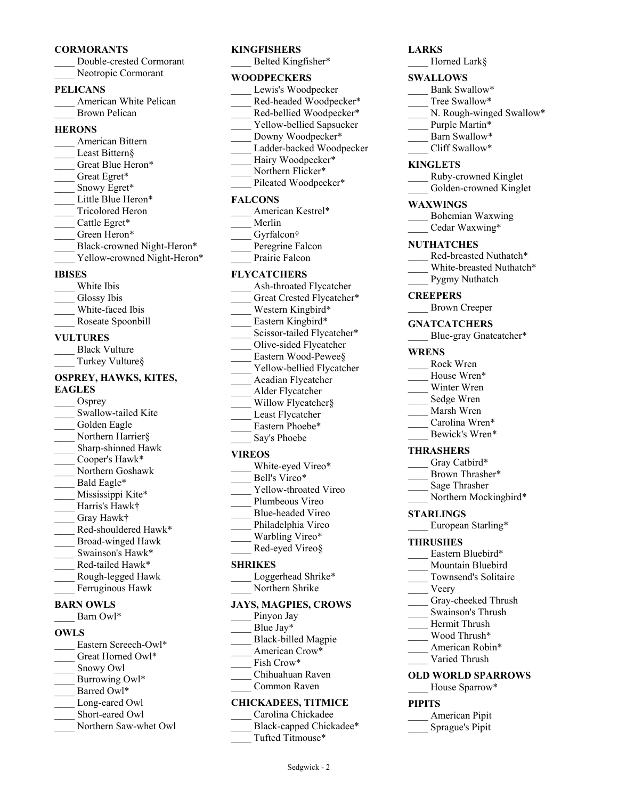#### **CORMORANTS**

| Double-crested Cormorant |
|--------------------------|
| Neotropic Cormorant      |

#### **PELICANS**

American White Pelican \_\_\_\_ Brown Pelican

- **HERONS**
- \_\_\_\_ American Bittern Least Bittern§
- Great Blue Heron\*
- Great Egret\*
- Snowy Egret\*
- Little Blue Heron\*
- \_\_\_\_ Tricolored Heron
- Cattle Egret\*
- Green Heron\*
- Black-crowned Night-Heron\*
- \_\_\_\_ Yellow-crowned Night-Heron\*

#### **IBISES**

- \_\_\_\_ White Ibis Glossy Ibis White-faced Ibis \_\_\_\_ Roseate Spoonbill **VULTURES** Black Vulture Turkey Vulture§ **OSPREY, HAWKS, KITES, EAGLES**
- Osprey
- Swallow-tailed Kite Golden Eagle Northern Harrier§ Sharp-shinned Hawk Cooper's Hawk\* Northern Goshawk Bald Eagle\* Mississippi Kite\* \_\_\_\_ Harris's Hawk† \_\_\_\_ Gray Hawk† Red-shouldered Hawk\*
- \_\_\_\_ Broad-winged Hawk Swainson's Hawk\*
- Red-tailed Hawk\*
- \_\_\_\_ Rough-legged Hawk
- Ferruginous Hawk

#### **BARN OWLS**

Barn Owl\*

#### **OWLS**

- Eastern Screech-Owl\* Great Horned Owl\* \_\_\_\_ Snowy Owl Burrowing Owl\* Barred Owl\* Long-eared Owl Short-eared Owl
- Northern Saw-whet Owl

# **KINGFISHERS**

Belted Kingfisher\*

#### **WOODPECKERS**

- Lewis's Woodpecker
- Red-headed Woodpecker\*
- Red-bellied Woodpecker\*
- Yellow-bellied Sapsucker Downy Woodpecker\*
- Ladder-backed Woodpecker
- Hairy Woodpecker\*
- Northern Flicker\*
- Pileated Woodpecker\*

#### **FALCONS**

- American Kestrel\* \_\_\_\_ Merlin Gyrfalcon†
- Peregrine Falcon
- Prairie Falcon

#### **FLYCATCHERS**

Ash-throated Flycatcher Great Crested Flycatcher\* Western Kingbird\* Eastern Kingbird\* Scissor-tailed Flycatcher\* \_\_\_\_ Olive-sided Flycatcher Eastern Wood-Pewee§ Yellow-bellied Flycatcher \_\_\_\_ Acadian Flycatcher \_\_\_\_ Alder Flycatcher Willow Flycatcher§ Least Flycatcher Eastern Phoebe\* Say's Phoebe

#### **VIREOS**

- White-eyed Vireo\* Bell's Vireo\*
- Yellow-throated Vireo
- Plumbeous Vireo
- \_\_\_\_ Blue-headed Vireo
- Philadelphia Vireo
- Warbling Vireo\*
- \_\_\_\_ Red-eyed Vireo§

#### **SHRIKES**

| Loggerhead Shrike* |
|--------------------|
| Northern Shrike    |

#### **JAYS, MAGPIES, CROWS**

- Pinyon Jay Blue Jay\* \_\_\_\_ Black-billed Magpie
- American Crow\*
- Fish Crow\*
- \_\_\_\_ Chihuahuan Raven
- \_\_\_\_ Common Raven

#### **CHICKADEES, TITMICE**

Carolina Chickadee Black-capped Chickadee\* Tufted Titmouse\*

Sedgwick - 2

- **LARKS**
	- \_\_\_\_ Horned Lark§

#### **SWALLOWS**

- Bank Swallow\*
- Tree Swallow\*
- N. Rough-winged Swallow\*
- Purple Martin\*
- Barn Swallow\*
- Cliff Swallow\*

#### **KINGLETS**

Ruby-crowned Kinglet \_\_\_\_ Golden-crowned Kinglet

#### **WAXWINGS**

- \_\_\_\_ Bohemian Waxwing
- Cedar Waxwing\*

#### **NUTHATCHES**

- Red-breasted Nuthatch\*
- White-breasted Nuthatch\*
- \_\_\_\_ Pygmy Nuthatch

#### **CREEPERS**

\_\_\_\_ Brown Creeper

#### **GNATCATCHERS**

Blue-gray Gnatcatcher\*

#### **WRENS**

- \_\_\_\_ Rock Wren
- House Wren\*
- Winter Wren
- Sedge Wren
- \_\_\_\_ Marsh Wren
- Carolina Wren\*
- Bewick's Wren\*

#### **THRASHERS**

- Gray Catbird\*
- Brown Thrasher\*
- \_\_\_\_ Sage Thrasher
- Northern Mockingbird\*

European Starling\*

Eastern Bluebird\* Mountain Bluebird \_\_\_\_ Townsend's Solitaire

Gray-cheeked Thrush \_\_\_\_ Swainson's Thrush \_\_\_\_ Hermit Thrush \_\_\_\_ Wood Thrush\* American Robin\* \_\_\_\_ Varied Thrush **OLD WORLD SPARROWS** House Sparrow\*

> \_\_\_\_ American Pipit \_\_\_\_ Sprague's Pipit

#### **STARLINGS**

**THRUSHES**

\_\_\_\_ Veery

**PIPITS**